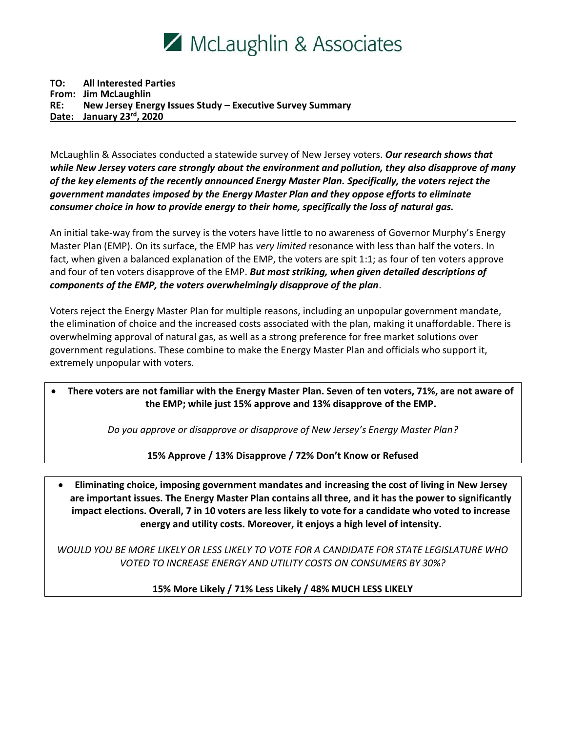

#### **TO: All Interested Parties From: Jim McLaughlin RE: New Jersey Energy Issues Study – Executive Survey Summary Date: January 23rd, 2020**

McLaughlin & Associates conducted a statewide survey of New Jersey voters. *Our research shows that while New Jersey voters care strongly about the environment and pollution, they also disapprove of many of the key elements of the recently announced Energy Master Plan. Specifically, the voters reject the government mandates imposed by the Energy Master Plan and they oppose efforts to eliminate consumer choice in how to provide energy to their home, specifically the loss of natural gas.* 

An initial take-way from the survey is the voters have little to no awareness of Governor Murphy's Energy Master Plan (EMP). On its surface, the EMP has *very limited* resonance with less than half the voters. In fact, when given a balanced explanation of the EMP, the voters are spit 1:1; as four of ten voters approve and four of ten voters disapprove of the EMP. *But most striking, when given detailed descriptions of components of the EMP, the voters overwhelmingly disapprove of the plan*.

Voters reject the Energy Master Plan for multiple reasons, including an unpopular government mandate, the elimination of choice and the increased costs associated with the plan, making it unaffordable. There is overwhelming approval of natural gas, as well as a strong preference for free market solutions over government regulations. These combine to make the Energy Master Plan and officials who support it, extremely unpopular with voters.

### • **There voters are not familiar with the Energy Master Plan. Seven of ten voters, 71%, are not aware of the EMP; while just 15% approve and 13% disapprove of the EMP.**

*Do you approve or disapprove or disapprove of New Jersey's Energy Master Plan?*

**15% Approve / 13% Disapprove / 72% Don't Know or Refused**

• **Eliminating choice, imposing government mandates and increasing the cost of living in New Jersey are important issues. The Energy Master Plan contains all three, and it has the power to significantly impact elections. Overall, 7 in 10 voters are less likely to vote for a candidate who voted to increase energy and utility costs. Moreover, it enjoys a high level of intensity.** 

*WOULD YOU BE MORE LIKELY OR LESS LIKELY TO VOTE FOR A CANDIDATE FOR STATE LEGISLATURE WHO VOTED TO INCREASE ENERGY AND UTILITY COSTS ON CONSUMERS BY 30%?* 

**15% More Likely / 71% Less Likely / 48% MUCH LESS LIKELY**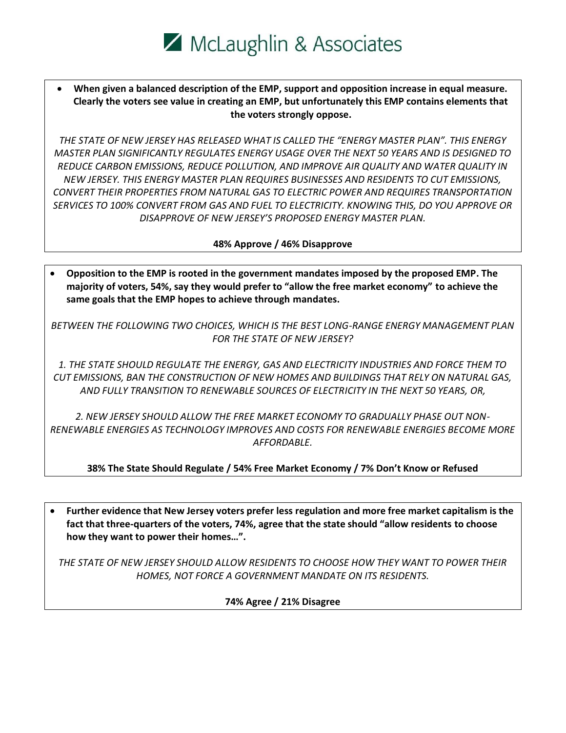

• **When given a balanced description of the EMP, support and opposition increase in equal measure. Clearly the voters see value in creating an EMP, but unfortunately this EMP contains elements that the voters strongly oppose.**

*THE STATE OF NEW JERSEY HAS RELEASED WHAT IS CALLED THE "ENERGY MASTER PLAN". THIS ENERGY MASTER PLAN SIGNIFICANTLY REGULATES ENERGY USAGE OVER THE NEXT 50 YEARS AND IS DESIGNED TO REDUCE CARBON EMISSIONS, REDUCE POLLUTION, AND IMPROVE AIR QUALITY AND WATER QUALITY IN NEW JERSEY. THIS ENERGY MASTER PLAN REQUIRES BUSINESSES AND RESIDENTS TO CUT EMISSIONS, CONVERT THEIR PROPERTIES FROM NATURAL GAS TO ELECTRIC POWER AND REQUIRES TRANSPORTATION SERVICES TO 100% CONVERT FROM GAS AND FUEL TO ELECTRICITY. KNOWING THIS, DO YOU APPROVE OR DISAPPROVE OF NEW JERSEY'S PROPOSED ENERGY MASTER PLAN.*

**48% Approve / 46% Disapprove** 

• **Opposition to the EMP is rooted in the government mandates imposed by the proposed EMP. The majority of voters, 54%, say they would prefer to "allow the free market economy" to achieve the same goals that the EMP hopes to achieve through mandates.** 

*BETWEEN THE FOLLOWING TWO CHOICES, WHICH IS THE BEST LONG-RANGE ENERGY MANAGEMENT PLAN FOR THE STATE OF NEW JERSEY?*

*1. THE STATE SHOULD REGULATE THE ENERGY, GAS AND ELECTRICITY INDUSTRIES AND FORCE THEM TO CUT EMISSIONS, BAN THE CONSTRUCTION OF NEW HOMES AND BUILDINGS THAT RELY ON NATURAL GAS, AND FULLY TRANSITION TO RENEWABLE SOURCES OF ELECTRICITY IN THE NEXT 50 YEARS, OR,*

*2. NEW JERSEY SHOULD ALLOW THE FREE MARKET ECONOMY TO GRADUALLY PHASE OUT NON-RENEWABLE ENERGIES AS TECHNOLOGY IMPROVES AND COSTS FOR RENEWABLE ENERGIES BECOME MORE AFFORDABLE.*

**38% The State Should Regulate / 54% Free Market Economy / 7% Don't Know or Refused**

• **Further evidence that New Jersey voters prefer less regulation and more free market capitalism is the fact that three-quarters of the voters, 74%, agree that the state should "allow residents to choose how they want to power their homes…".** 

*THE STATE OF NEW JERSEY SHOULD ALLOW RESIDENTS TO CHOOSE HOW THEY WANT TO POWER THEIR HOMES, NOT FORCE A GOVERNMENT MANDATE ON ITS RESIDENTS.*

**74% Agree / 21% Disagree**